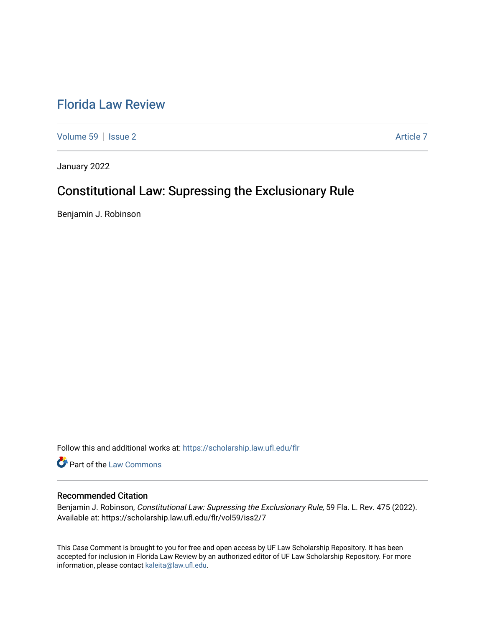# [Florida Law Review](https://scholarship.law.ufl.edu/flr)

[Volume 59](https://scholarship.law.ufl.edu/flr/vol59) | [Issue 2](https://scholarship.law.ufl.edu/flr/vol59/iss2) Article 7

January 2022

# Constitutional Law: Supressing the Exclusionary Rule

Benjamin J. Robinson

Follow this and additional works at: [https://scholarship.law.ufl.edu/flr](https://scholarship.law.ufl.edu/flr?utm_source=scholarship.law.ufl.edu%2Fflr%2Fvol59%2Fiss2%2F7&utm_medium=PDF&utm_campaign=PDFCoverPages)

Part of the [Law Commons](http://network.bepress.com/hgg/discipline/578?utm_source=scholarship.law.ufl.edu%2Fflr%2Fvol59%2Fiss2%2F7&utm_medium=PDF&utm_campaign=PDFCoverPages)

### Recommended Citation

Benjamin J. Robinson, Constitutional Law: Supressing the Exclusionary Rule, 59 Fla. L. Rev. 475 (2022). Available at: https://scholarship.law.ufl.edu/flr/vol59/iss2/7

This Case Comment is brought to you for free and open access by UF Law Scholarship Repository. It has been accepted for inclusion in Florida Law Review by an authorized editor of UF Law Scholarship Repository. For more information, please contact [kaleita@law.ufl.edu.](mailto:kaleita@law.ufl.edu)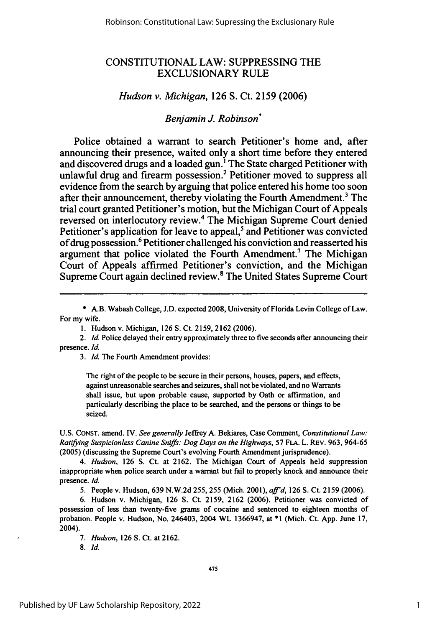## **CONSTITUTIONAL** LAW: SUPPRESSING THE **EXCLUSIONARY** RULE

### *Hudson v. Michigan,* **126 S.** Ct. **2159 (2006)**

## *Benjamin J. Robinson\**

Police obtained a warrant to search Petitioner's home and, after announcing their presence, waited only a short time before they entered and discovered drugs and a loaded gun.<sup>1</sup> The State charged Petitioner with unlawful drug and firearm possession.<sup>2</sup> Petitioner moved to suppress all evidence from the search **by** arguing that police entered his home too soon after their announcement, thereby violating the Fourth Amendment.<sup>3</sup> The trial court granted Petitioner's motion, but the Michigan Court of Appeals reversed on interlocutory review.4 The Michigan Supreme Court denied Petitioner's application for leave to appeal,<sup>5</sup> and Petitioner was convicted of drug possession.6 Petitioner challenged his conviction and reasserted his argument that police violated the Fourth Amendment.<sup>7</sup> The Michigan Court of Appeals affirmed Petitioner's conviction, and the Michigan Supreme Court again declined review.8 The United States Supreme Court

\* A.B. Wabash College, J.D. expected 2008, University of Florida Levin College of Law. For my wife.

2. *Id.* Police delayed their entry approximately three to five seconds after announcing their presence. *Id.*

*3. Id.* The Fourth Amendment provides:

The right of the people to be secure in their persons, houses, papers, and effects, against unreasonable searches and seizures, shall not be violated, and no Warrants shall issue, but upon probable cause, supported by Oath or affirmation, and particularly describing the place to be searched, and the persons or things to be seized.

U.S. CONST. amend. IV. *See generally* Jeffrey A. Bekiares, Case Comment, *Constitutional Law: Ratifying Suspicionless Canine Sniffs: Dog Days on* the *Highways,* 57 FLA. L. REv. 963, 964-65 (2005) (discussing the Supreme Court's evolving Fourth Amendment jurisprudence).

*4. Hudson,* 126 S. Ct. at 2162. The Michigan Court of Appeals held suppression inappropriate when police search under a warrant but fail to properly knock and announce their presence. *Id.*

5. People v. Hudson, 639 N.W.2d 255,255 (Mich. 2001), *aff'd,* 126 **S.** Ct. 2159 (2006).

6. Hudson v. Michigan, 126 **S.** Ct. 2159, 2162 (2006). Petitioner was convicted of possession of less than twenty-five grams of cocaine and sentenced to eighteen months of probation. People v. Hudson, No. 246403, 2004 WL 1366947, at **\*1** (Mich. Ct. App. June 17, 2004).

*7. Hudson,* 126 **S.** Ct. at 2162.

*8. Id.*

<sup>1.</sup> Hudson v. Michigan, 126 **S.** Ct. 2159, 2162 (2006).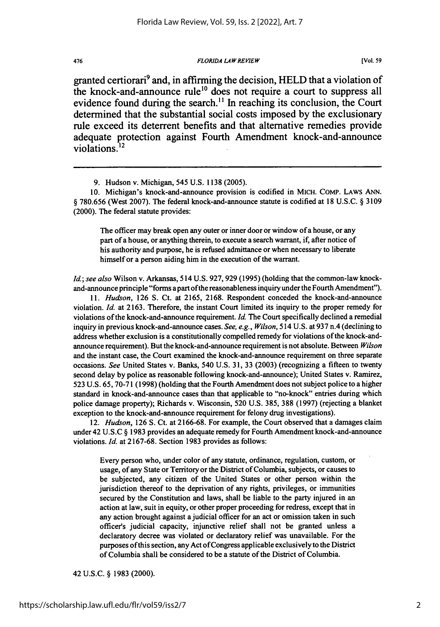476

#### *FLORIDA L4WREVEW*

**[Vol. 59**

granted certiorari9 and, in affirming the decision, **HELD** that a violation of the knock-and-announce rule<sup>10</sup> does not require a court to suppress all evidence found during the search.<sup>11</sup> In reaching its conclusion, the Court determined that the substantial social costs imposed **by** the exclusionary rule exceed its deterrent benefits and that alternative remedies provide adequate protection against Fourth Amendment knock-and-announce violations. $12$ 

The officer may break open any outer or inner door or window of a house, or any part of a house, or anything therein, to execute a search warrant, if, after notice of his authority and purpose, he is refused admittance or when necessary to liberate himself or a person aiding him in the execution of the warrant.

*Id.; see also* Wilson v. Arkansas, 514 **U.S. 927, 929 (1995)** (holding that the common-law knockand-announce principle "forms apart of the reasonableness inquiry under the Fourth Amendment").

**11.** *Hudson,* **126 S.** Ct. at **2165, 2168.** Respondent conceded the knock-and-announce violation. *Id.* at **2163.** Therefore, the instant Court limited its inquiry to the proper remedy for violations of the knock-and-announce requirement. *Id.* The Court specifically declined a remedial inquiry in previous knock-and-announce cases. *See, e.g., Wilson,* 514 **U.S.** at **937** n.4 (declining to address whether exclusion is a constitutionally compelled remedy for violations of the knock-andannounce requirement). But the knock-and-announce requirement is not absolute. Between *Wilson* and the instant case, the Court examined the knock-and-announce requirement on three separate occasions. *See* United States v. Banks, 540 **U.S. 31, 33 (2003)** (recognizing a fifteen to twenty second delay **by** police as reasonable following knock-and-announce); United States v. Ramirez, **523 U.S. 65, 70-71 (1998)** (holding that the Fourth Amendment does not subject police to a higher standard in knock-and-announce cases than that applicable to "no-knock" entries during which police damage property); Richards v. Wisconsin, **520 U.S. 385, 388 (1997)** (rejecting a blanket exception to the knock-and-announce requirement for felony drug investigations).

12. *Hudson,* **126 S.** Ct. at **2166-68.** For example, the Court observed that a damages claim under 42 **U.S.C** § **1983** provides an adequate remedy for Fourth Amendment knock-and-announce violations. *Id.* at **2167-68.** Section **1983** provides as follows:

Every person who, under color of any statute, ordinance, regulation, custom, or usage, of any State or Territory or the District of Columbia, subjects, or causes to be subjected, any citizen of the United States or other person within the jurisdiction thereof to the deprivation of any rights, privileges, or immunities secured **by** the Constitution and laws, shall be liable to the party injured in an action at law, suit in equity, or other proper proceeding for redress, except that in any action brought against a judicial officer for an act or omission taken in such officer's judicial capacity, injunctive relief shall not be granted unless a declaratory decree was violated or declaratory relief was unavailable. For the purposes of this section, any Act of Congress applicable exclusively to the District of Columbia shall be considered to be a statute of the District of Columbia.

42 U.S.C. § 1983 (2000).

**<sup>9.</sup>** Hudson v. Michigan, 545 **U.S. 1138 (2005).**

**<sup>10.</sup>** Michigan's knock-and-announce provision is codified in MICH. CoMP. LAWS **ANN.** § **780.656** (West **2007).** The federal knock-and-announce statute is codified at **18 U.S.C.** § **3109** (2000). The federal statute provides: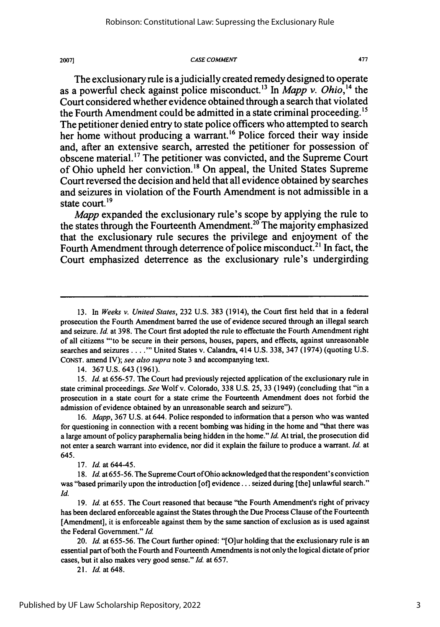20071

#### *CASE* **COMMENT**

477

The exclusionary rule is a judicially created remedy designed to operate as a powerful check against police misconduct. 3 In *Mapp v. Ohio,"4* the Court considered whether evidence obtained through a search that violated the Fourth Amendment could be admitted in a state criminal proceeding.'<sup>5</sup> The petitioner denied entry to state police officers who attempted to search her home without producing a warrant.<sup>16</sup> Police forced their way inside and, after an extensive search, arrested the petitioner for possession of obscene material.<sup>17</sup> The petitioner was convicted, and the Supreme Court of Ohio upheld her conviction." On appeal, the United States Supreme Court reversed the decision and held that all evidence obtained **by** searches and seizures in violation of the Fourth Amendment is not admissible in a state court.<sup>19</sup>

*Mapp* expanded the exclusionary rule's scope **by** applying the rule to the states through the Fourteenth Amendment.<sup>20</sup> The majority emphasized that the exclusionary rule secures the privilege and enjoyment of the Fourth Amendment through deterrence of police misconduct.<sup>21</sup> In fact, the Court emphasized deterrence as the exclusionary rule's undergirding

14. 367 U.S. 643 (1961).

*15. Id.* at 656-57. The Court had previously rejected application of the exclusionary rule in state criminal proceedings. *See* Wolf v. Colorado, 338 U.S. 25, 33 (1949) (concluding that "in a prosecution in a state court for a state crime the Fourteenth Amendment does not forbid the admission of evidence obtained by an unreasonable search and seizure").

16. *Mapp,* 367 U.S. at 644. Police responded to information that a person who was wanted for questioning in connection with a recent bombing was hiding in the home and "that there was a large amount of policy paraphernalia being hidden in the home." *Id.* At trial, the prosecution did not enter a search warrant into evidence, nor did it explain the failure to produce a warrant. *Id.* at 645.

17. *Id.* at 644-45.

18. *Id.* at 655-56. The Supreme Court of Ohio acknowledged that the respondent's conviction was "based primarily upon the introduction [of] evidence **...** seized during [the] unlawful search." *Id.*

19. *Id.* at 655. The Court reasoned that because "the Fourth Amendment's right of privacy has been declared enforceable against the States through the Due Process Clause of the Fourteenth [Amendment], it is enforceable against them by the same sanction of exclusion as is used against the Federal Government." *Id.*

20. *Id.* at 655-56. The Court further opined: "[O]ur holding that the exclusionary rule is an essential part of both the Fourth and Fourteenth Amendments is not only the logical dictate of prior cases, but it also makes very good sense." *Id.* at 657.

21. *Id.* at 648.

<sup>13.</sup> In *Weeks v. United States,* 232 U.S. 383 (1914), the Court first held that in a federal prosecution the Fourth Amendment barred the use of evidence secured through an illegal search and seizure. *Id.* at 398. The Court first adopted the rule to effectuate the Fourth Amendment right of all citizens .'to be secure in their persons, houses, papers, and effects, against unreasonable searches and seizures . . . . "" United States v. Calandra, 414 U.S. 338, 347 (1974) (quoting U.S. **CONST.** amend IV); *see also supra* note 3 and accompanying text.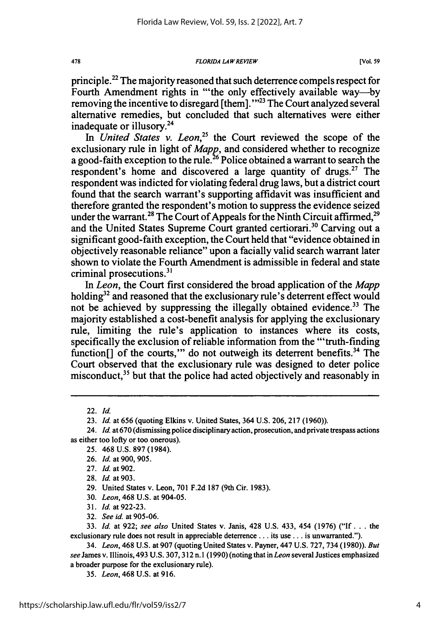**FLORIDA LAW** *REVIEW*

principle.22 The majority reasoned that such deterrence compels respect for Fourth Amendment rights in "the only effectively available way-by removing the incentive to disregard [them]. **"'23** The Court analyzed several alternative remedies, but concluded that such alternatives were either inadequate or illusory.24

In *United States v. Leon*,<sup>25</sup> the Court reviewed the scope of the exclusionary rule in light of *Mapp,* and considered whether to recognize a good-faith exception to the rule.<sup>26</sup> Police obtained a warrant to search the respondent's home and discovered a large quantity of drugs.<sup>27</sup> The respondent was indicted for violating federal drug laws, but a district court found that the search warrant's supporting affidavit was insufficient and therefore granted the respondent's motion to suppress the evidence seized under the warrant.<sup>28</sup> The Court of Appeals for the Ninth Circuit affirmed.<sup>29</sup> and the United States Supreme Court granted certiorari.<sup>30</sup> Carving out a significant good-faith exception, the Court held that "evidence obtained in objectively reasonable reliance" upon a facially valid search warrant later shown to violate the Fourth Amendment is admissible in federal and state criminal prosecutions.3'

*In Leon,* the Court first considered the broad application of the *Mapp* holding<sup>32</sup> and reasoned that the exclusionary rule's deterrent effect would not be achieved by suppressing the illegally obtained evidence.<sup>33</sup> The majority established a cost-benefit analysis for applying the exclusionary rule, limiting the rule's application to instances where its costs, specifically the exclusion of reliable information from the "'truth-finding function<sup>[]</sup> of the courts," do not outweigh its deterrent benefits.<sup>34</sup> The Court observed that the exclusionary rule was designed to deter police misconduct,<sup>35</sup> but that the police had acted objectively and reasonably in

478

- 31. *Id.* at 922-23.
- 32. *See id.* at 905-06.

**35.** *Leon,* 468 **U.S.** at **916.**

<sup>22.</sup> Id.

<sup>23.</sup> *Id.* at 656 (quoting Elkins v. United States, 364 U.S. 206, 217 (1960)).

<sup>24.</sup> *Id.* at **670** (dismissing police disciplinary action, prosecution, and private trespass actions as either too lofty or too onerous).

<sup>25. 468</sup> U.S. 897 (1984).

<sup>26.</sup> *Id.* at 900, 905.

<sup>27.</sup> *Id.* at 902.

<sup>28.</sup> *Id.* at **903.**

<sup>29.</sup> United States v. Leon, 701 F.2d 187 (9th Cir. 1983).

<sup>30.</sup> *Leon,* 468 U.S. at 904-05.

<sup>33.</sup> *Id.* at 922; see also United States v. Janis, 428 U.S. 433, 454 (1976) ("If. **.** . the exclusionary rule does not result in appreciable deterrence **...** its use... is unwarranted.").

<sup>34.</sup> *Leon,* 468 **U.S.** at **907** (quoting United States v. Payner, 447 **U.S. 727,** 734 **(1980)).** *But see* James v. Illinois, 493 **U.S. 307, 312** n. **I (1990)** (noting that in *Leon* several Justices emphasized a broader purpose for the exclusionary rule).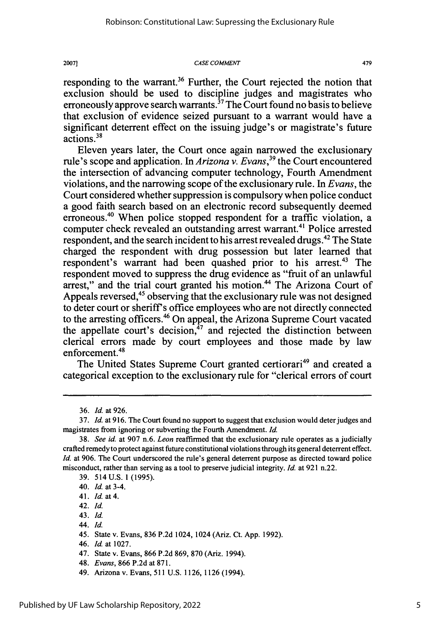#### **2007]** *CASE COMMENT*

responding to the warrant.<sup>36</sup> Further, the Court rejected the notion that exclusion should be used to discipline judges and magistrates who erroneously approve search warrants.<sup>37</sup> The Court found no basis to believe that exclusion of evidence seized pursuant to a warrant would have a significant deterrent effect on the issuing judge's or magistrate's future actions.38

Eleven years later, the Court once again narrowed the exclusionary rule's scope and application. In *Arizona v. Evans,39* the Court encountered the intersection of advancing computer technology, Fourth Amendment violations, and the narrowing scope of the exclusionary rule. In *Evans,* the Court considered whether suppression is compulsory when police conduct a good faith search based on an electronic record subsequently deemed erroneous.<sup>40</sup> When police stopped respondent for a traffic violation, a computer check revealed an outstanding arrest warrant.<sup>41</sup> Police arrested respondent, and the search incident to his arrest revealed drugs.<sup>42</sup> The State charged the respondent with drug possession but later learned that respondent's warrant had been quashed prior to his arrest.<sup>43</sup> The respondent moved to suppress the drug evidence as "fruit of an unlawful arrest," and the trial court granted his motion.<sup>44</sup> The Arizona Court of Appeals reversed,<sup>45</sup> observing that the exclusionary rule was not designed to deter court or sheriff's office employees who are not directly connected to the arresting officers.46 On appeal, the Arizona Supreme Court vacated the appellate court's decision, $47$  and rejected the distinction between clerical errors made by court employees and those made by law enforcement.<sup>48</sup>

The United States Supreme Court granted certiorari<sup>49</sup> and created a categorical exception to the exclusionary rule for "clerical errors of court

48. *Evans,* 866 P.2d at 871.

<sup>36.</sup> *Id.* at 926.

<sup>37.</sup> *Id.* at 916. The Court found no support to suggest that exclusion would deter judges and magistrates from ignoring or subverting the Fourth Amendment. *Id.*

<sup>38.</sup> *See* id. at 907 n.6. *Leon* reaffirmed that the exclusionary rule operates as a judicially crafted remedy to protect against future constitutional violations through its general deterrent effect. *Id.* at 906. The Court underscored the rule's general deterrent purpose as directed toward police misconduct, rather than serving as a tool to preserve judicial integrity. *Id.* at 921 n.22.

<sup>39. 514</sup> U.S. 1 (1995).

<sup>40.</sup> *Id.* at 3-4.

<sup>41.</sup> *Id.* at 4.

<sup>42.</sup> *Id.*

<sup>43.</sup> *Id.*

<sup>44.</sup> *Id.*

<sup>45.</sup> State v. Evans, 836 P.2d 1024, 1024 (Ariz. Ct. App. 1992).

<sup>46.</sup> Id. at 1027.

<sup>47.</sup> State v. Evans, 866 P.2d 869, 870 (Ariz. 1994).

<sup>49.</sup> Arizona v. Evans, 511 U.S. 1126, 1126 (1994).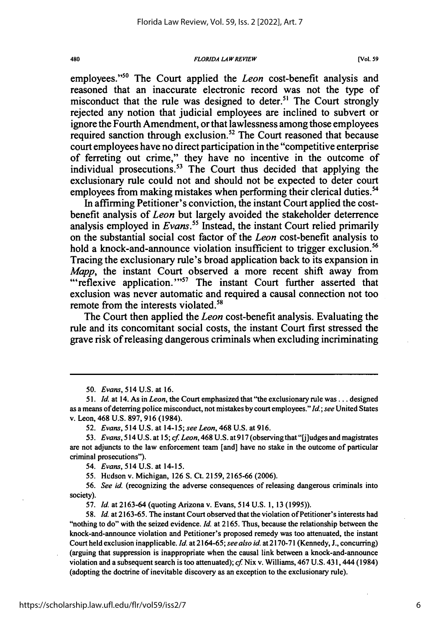#### **FLORIDA LAW REVIEW**

employees."<sup>50</sup> The Court applied the *Leon* cost-benefit analysis and reasoned that an inaccurate electronic record was not the type of misconduct that the rule was designed to deter.<sup>51</sup> The Court strongly rejected any notion that judicial employees are inclined to subvert or ignore the Fourth Amendment, or that lawlessness among those employees required sanction through exclusion.<sup>52</sup> The Court reasoned that because court employees have no direct participation in the "competitive enterprise of ferreting out crime," they have no incentive in the outcome of individual prosecutions.<sup>53</sup> The Court thus decided that applying the exclusionary rule could not and should not be expected to deter court employees from making mistakes when performing their clerical duties.<sup>54</sup>

In affirming Petitioner's conviction, the instant Court applied the costbenefit analysis of *Leon* but largely avoided the stakeholder deterrence analysis employed in *Evans.55* Instead, the instant Court relied primarily on the substantial social cost factor of the *Leon* cost-benefit analysis to hold a knock-and-announce violation insufficient to trigger exclusion.<sup>56</sup> Tracing the exclusionary rule's broad application back to its expansion in *Mapp,* the instant Court observed a more recent shift away from "reflexive application."<sup>57</sup> The instant Court further asserted that exclusion was never automatic and required a causal connection not too remote from the interests violated.<sup>58</sup>

The Court then applied the *Leon* cost-benefit analysis. Evaluating the rule and its concomitant social costs, the instant Court first stressed the grave risk of releasing dangerous criminals when excluding incriminating

53. Evans, 514 U.S. at 15; cf. Leon, 468 U.S. at 917 (observing that "filudges and magistrates are not adjuncts to the law enforcement team [and] have no stake in the outcome of particular criminal prosecutions").

54. Evans, 514 U.S. at 14-15.

55. Hudson v. Michigan, 126 S. Ct. 2159, 2165-66 (2006).

56. *See* id. (recognizing the adverse consequences of releasing dangerous criminals into society).

57. Id. at 2163-64 (quoting Arizona v. Evans, 514 U.S. 1, 13 (1995)).

58. **Id.** at 2163-65. The instant Court observed that the violation of Petitioner's interests had "nothing to do" with the seized evidence. Id. at 2165. Thus, because the relationship between the knock-and-announce violation and Petitioner's proposed remedy was too attenuated, the instant Court held exclusion inapplicable. Id. at 2164-65; see also id. at 2170-71 (Kennedy, J., concurring) (arguing that suppression is inappropriate when the causal link between a knock-and-announce violation and a subsequent search is too attenuated); *cf* Nix v. Williams, 467 U.S. 431,444 (1984) (adopting the doctrine of inevitable discovery as an exception to the exclusionary rule).

<sup>50.</sup> *Evans,* 514 U.S. at 16.

*<sup>51.</sup>* Id. at 14. As in *Leon,* the Court emphasized that "the exclusionary rule was... designed as a means of deterring police misconduct, not mistakes by court employees." *Id.; see* United States v. Leon, 468 U.S. 897, 916 (1984).

<sup>52.</sup> Evans, 514 U.S. at 14-15; see *Leon,* 468 U.S. at 916.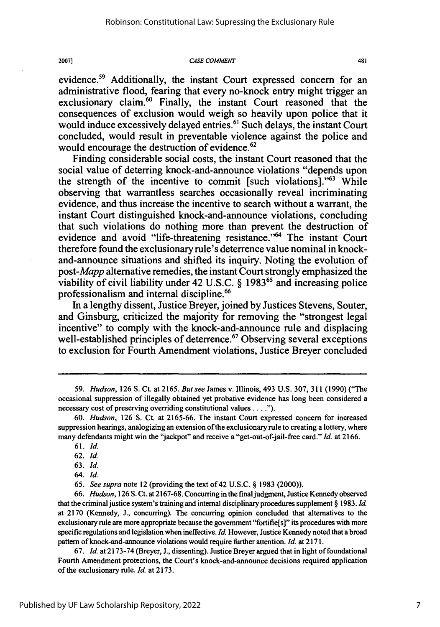**CASE COMMENT**

evidence.<sup>59</sup> Additionally, the instant Court expressed concern for an administrative flood, fearing that every no-knock entry might trigger an exclusionary claim.<sup>60</sup> Finally, the instant Court reasoned that the consequences of exclusion would weigh so heavily upon police that it would induce excessively delayed entries.<sup>61</sup> Such delays, the instant Court concluded, would result in preventable violence against the police and would encourage the destruction of evidence.<sup>62</sup>

Finding considerable social costs, the instant Court reasoned that the social value of deterring knock-and-announce violations "depends upon the strength of the incentive to commit [such violations].'63 While observing that warrantless searches occasionally reveal incriminating evidence, and thus increase the incentive to search without a warrant, the instant Court distinguished knock-and-announce violations, concluding that such violations do nothing more than prevent the destruction of evidence and avoid "life-threatening resistance."<sup>64</sup> The instant Court therefore found the exclusionary rule's deterrence value nominal in knockand-announce situations and shifted its inquiry. Noting the evolution of *post-Mapp* alternative remedies, the instant Court strongly emphasized the viability of civil liability under 42 U.S.C. § 1983<sup>65</sup> and increasing police professionalism and internal discipline.<sup>66</sup>

In a lengthy dissent, Justice Breyer, joined by Justices Stevens, Souter, and Ginsburg, criticized the majority for removing the "strongest legal incentive" to comply with the knock-and-announce rule and displacing well-established principles of deterrence.<sup>67</sup> Observing several exceptions to exclusion for Fourth Amendment violations, Justice Breyer concluded

2007]

62. *Id.*

63. *Id.*

64. *Id.*

65. *See supra* note 12 (providing the text of 42 U.S.C. § 1983 (2000)).

66. *Hudson,* 126 S. Ct. at 2167-68. Concurring in the final judgment, Justice Kennedy observed that the criminal justice system's training and internal disciplinary procedures supplement § 1983. *Id.* at 2170 (Kennedy, J., concurring). The concurring opinion concluded that alternatives to the exclusionary rule are more appropriate because the government "fortifie[s]" its procedures with more specific regulations and legislation when ineffective. *Id.* However, Justice Kennedy noted that a broad pattern of knock-and-announce violations would require further attention. *Id.* at 2171.

67. *Id.* at 2173-74 (Breyer, J., dissenting). Justice Breyer argued that in light of foundational Fourth Amendment protections, the Court's knock-and-announce decisions required application of the exclusionary rule. *Id.* at 2173.

481

*<sup>59.</sup> Hudson,* 126 **S.** Ct. at 2165. *But see* James v. Illinois, 493 U.S. 307, 311 (1990) ("The occasional suppression of illegally obtained yet probative evidence has long been considered a necessary cost of preserving overriding constitutional values **.... ").**

<sup>60.</sup> *Hudson,* 126 S. Ct. at 2165-66. The instant Court expressed concern for increased suppression hearings, analogizing an extension of the exclusionary rule to creating a lottery, where many defendants might win the "jackpot" and receive a "get-out-of-jail-free card." *Id.* at 2166.

<sup>61.</sup> Id.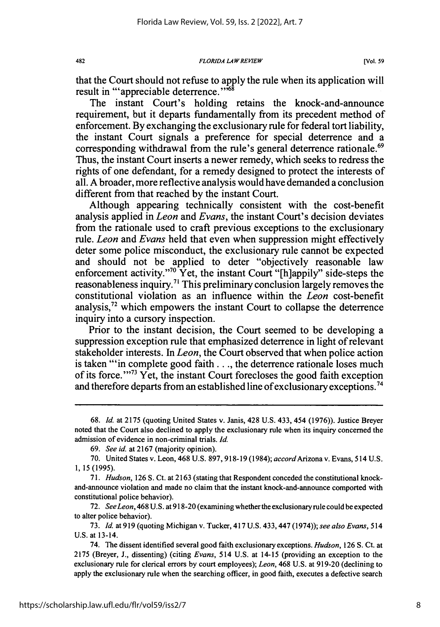*FLORIDA LAW REVIEW*

that the Court should not refuse to apply the rule when its application will result in "'appreciable deterrence."<sup>568</sup>

The instant Court's holding retains the knock-and-announce requirement, but it departs fundamentally from its precedent method of enforcement. By exchanging the exclusionary rule for federal tort liability, the instant Court signals a preference for special deterrence and a corresponding withdrawal from the rule's general deterrence rationale.<sup>69</sup> Thus, the instant Court inserts a newer remedy, which seeks to redress the rights of one defendant, for a remedy designed to protect the interests of all. A broader, more reflective analysis would have demanded a conclusion different from that reached by the instant Court.

Although appearing technically consistent with the cost-benefit analysis applied in *Leon* and *Evans,* the instant Court's decision deviates from the rationale used to craft previous exceptions to the exclusionary rule. *Leon* and *Evans* held that even when suppression might effectively deter some police misconduct, the exclusionary rule cannot be expected and should not be applied to deter "objectively reasonable law enforcement activity."70 Yet, the instant Court "[h]appily" side-steps the reasonableness inquiry.<sup>71</sup> This preliminary conclusion largely removes the constitutional violation as an influence within the *Leon* cost-benefit analysis, $72$  which empowers the instant Court to collapse the deterrence inquiry into a cursory inspection.

Prior to the instant decision, the Court seemed to be developing a suppression exception rule that emphasized deterrence in light of relevant stakeholder interests. In *Leon,* the Court observed that when police action is taken "'in complete good faith..., the deterrence rationale loses much of its force."<sup> $3$ </sup> Yet, the instant Court forecloses the good faith exception and therefore departs from an established line of exclusionary exceptions.<sup>74</sup>

482

<sup>68.</sup> *Id.* at 2175 (quoting United States v. Janis, 428 U.S. 433, 454 (1976)). Justice Breyer noted that the Court also declined to apply the exclusionary rule when its inquiry concerned the admission of evidence in non-criminal trials. *Id.*

*<sup>69.</sup> See id.* at 2167 (majority opinion).

<sup>70.</sup> United States v. Leon, 468 U.S. 897, 918-19 (1984); *accord* Arizona v. Evans, 514 U.S. 1, 15 (1995).

*<sup>71.</sup> Hudson,* 126 **S.** Ct. at 2163 (stating that Respondent conceded the constitutional knockand-announce violation and made no claim that the instant knock-and-announce comported with constitutional police behavior).

<sup>72.</sup> *See Leon,* 468 U.S. at 918-20 (examining whether the exclusionary rule could be expected to alter police behavior).

<sup>73.</sup> *Id.* at 919 (quoting Michigan v. Tucker, 417 U.S. 433,447 (1974)); *see also Evans,* 514 U.S. at 13-14.

<sup>74.</sup> The dissent identified several good faith exclusionary exceptions. *Hudson,* 126 **S.** Ct. at 2175 (Breyer, J., dissenting) (citing *Evans,* 514 U.S. at 14-15 (providing an exception to the exclusionary rule for clerical errors **by** court employees); *Leon,* 468 U.S. at 919-20 (declining to apply the exclusionary rule when the searching officer, in good faith, executes a defective search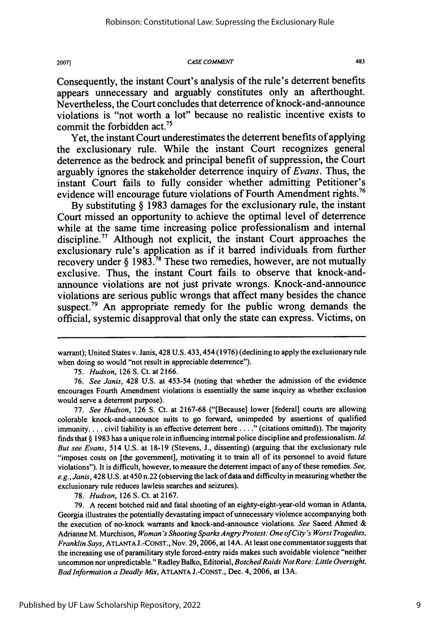**CASE COMMENT**

Consequently, the instant Court's analysis of the rule's deterrent benefits appears unnecessary and arguably constitutes only an afterthought. Nevertheless, the Court concludes that deterrence of knock-and-announce violations is "not worth a lot" because no realistic incentive exists to commit the forbidden act.75

Yet, the instant Court underestimates the deterrent benefits of applying the exclusionary rule. While the instant Court recognizes general deterrence as the bedrock and principal benefit of suppression, the Court arguably ignores the stakeholder deterrence inquiry of *Evans.* Thus, the instant Court fails to fully consider whether admitting Petitioner's evidence will encourage future violations of Fourth Amendment rights.<sup>76</sup>

**By** substituting **§ 1983** damages for the exclusionary rule, the instant Court missed an opportunity to achieve the optimal level of deterrence while at the same time increasing police professionalism and internal discipline.<sup>77</sup> Although not explicit, the instant Court approaches the exclusionary rule's application as if it barred individuals from further recovery under  $\S$  1983.<sup>78</sup> These two remedies, however, are not mutually exclusive. Thus, the instant Court fails to observe that knock-andannounce violations are not just private wrongs. Knock-and-announce violations are serious public wrongs that affect many besides the chance suspect.<sup>79</sup> An appropriate remedy for the public wrong demands the official, systemic disapproval that only the state can express. Victims, on

77. *See Hudson,* 126 **S.** Ct. at 2167-68 ("[Because] lower [federal] courts are allowing colorable knock-and-announce suits to go forward, unimpeded by assertions of qualified immunity.... civil liability is an effective deterrent here **....** (citations omitted)). The majority finds that § 1983 has a unique role in influencing internal police discipline and professionalism. *Id. But see Evans,* 514 U.S. at 18-19 (Stevens, J., dissenting) (arguing that the exclusionary rule "imposes costs on [the government], motivating it to train all of its personnel to avoid future violations"). It is difficult, however, to measure the deterrent impact of any of these remedies. *See, e.g., Janis,* 428 U.S. at 450 n.22 (observing the lack of data and difficulty in measuring whether the exclusionary rule reduces lawless searches and seizures).

78. *Hudson,* 126 **S.** Ct. at 2167.

79. A recent botched raid and fatal shooting of an eighty-eight-year-old woman in Atlanta, Georgia illustrates the potentially devastating impact of unnecessary violence accompanying both the execution of no-knock warrants and knock-and-announce violations. *See* Saeed Ahmed & Adrianne M. Murchison, *Woman 's Shooting Sparks AngryProtest: One of City's Worst Tragedies, Franklin Says,* ATLANTA J.-CONST., Nov. 29,2006, at 14A. At least one commentator suggests that the increasing use of paramilitary style forced-entry raids makes such avoidable violence "neither uncommon nor unpredictable." Radley Balko, Editorial, *Botched Raids Not Rare: Little Oversight*, *Bad Information a Deadly Mix,* ATLANTA J.-CONST., Dec. 4, 2006, at 13A.

2007]

warrant); United States v. Janis, 428 U.S. 433, 454 (1976) (declining to apply the exclusionary rule when doing so would "not result in appreciable deterrence").

*<sup>75.</sup> Hudson,* 126 S. Ct. at 2166.

<sup>76.</sup> *See Janis,* 428 U.S. at 453-54 (noting that whether the admission of the evidence encourages Fourth Amendment violations is essentially the same inquiry as whether exclusion would serve a deterrent purpose).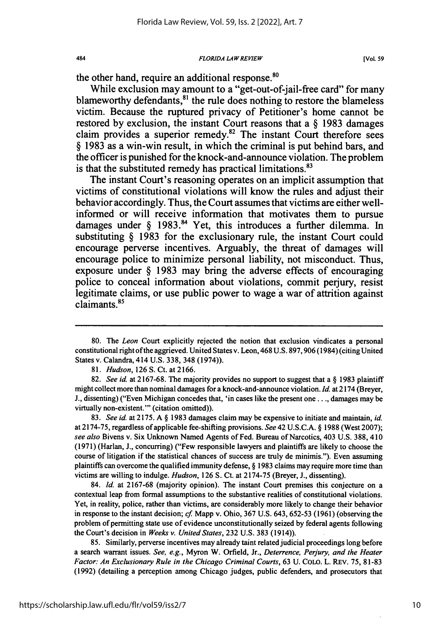*FLORIDA LAIWREVHEW*

the other hand, require an additional response. $80$ 

While exclusion may amount to a "get-out-of-jail-free card" for many blameworthy defendants, $81$  the rule does nothing to restore the blameless victim. Because the ruptured privacy of Petitioner's home cannot be restored **by** exclusion, the instant Court reasons that a **§ 1983** damages claim provides a superior remedy.<sup>82</sup> The instant Court therefore sees **§ 1983** as a win-win result, in which the criminal is put behind bars, and the officer is punished for the knock-and-announce violation. The problem is that the substituted remedy has practical limitations. $83$ 

The instant Court's reasoning operates on an implicit assumption that victims of constitutional violations will know the rules and adjust their behavior accordingly. Thus, the Court assumes that victims are either wellinformed or will receive information that motivates them to pursue damages under § 1983.<sup>84</sup> Yet, this introduces a further dilemma. In substituting **§ 1983** for the exclusionary rule, the instant Court could encourage perverse incentives. Arguably, the threat of damages will encourage police to minimize personal liability, not misconduct. Thus, exposure under **§ 1983** may bring the adverse effects of encouraging police to conceal information about violations, commit perjury, resist legitimate claims, or use public power to wage a war of attrition against claimants<sup>85</sup>

**83.** *See id* at **2175. A** § **1983** damages claim may be expensive to initiate and maintain, *id* at **2174-75,** regardless of applicable fee-shifting provisions. *See* 42 **U.S.C.A.** § **1988** (West **2007);** *see also* Bivens v. Six Unknown Named Agents of Fed. Bureau of Narcotics, 403 **U.S. 388, 410 (1971)** (Harlan, **J.,** concurring) ("Few responsible lawyers and plaintiffs are likely to choose the course of litigation if the statistical chances of success are truly de minimis."). Even assuming plaintiffs can overcome the qualified immunity defense, § **1983** claims may require more time than victims are willing to indulge. *Hudson,* **126 S.** Ct. at **2174-75** (Breyer, **J.,** dissenting).

84. *Id,* at **2167-68** (majority opinion). The instant Court premises this conjecture on a contextual leap from formal assumptions to the substantive realities of constitutional violations. Yet, in reality, police, rather than victims, are considerably more likely to change their behavior in response to the instant decision; **cf.** Mapp v. Ohio, **367 U.S.** 643, **652-53 (1961)** (observing the problem of permitting state use of evidence unconstitutionally seized **by** federal agents following the Court's decision in *Weeks v. United States,* **232 U.S. 383** (1914)).

**85.** Similarly, perverse incentives may already taint related judicial proceedings long before a search warrant issues. *See, e.g.,* Myron W. Orfield, Jr., *Deterrence, Perjury, and the Heater Factor: An Exclusionary Rule in the Chicago Criminal Courts,* **63 U. COLO.** L. REv. **75, 81-83 (1992)** (detailing a perception among Chicago judges, public defenders, and prosecutors that

**<sup>80.</sup>** The *Leon* Court explicitly rejected the notion that exclusion vindicates a personal constitutional right of the aggrieved. United States v. Leon, 468 **U.S. 897,906** (1984) (citing United States v. Calandra, 414 **U.S. 338,** 348 (1974)).

*<sup>81.</sup> Hudson,* **126 S.** Ct. at **2166.**

**<sup>82.</sup>** *See id.* at **2167-68.** The majority provides no support to suggest that a § **1983** plaintiff might collect more than nominal damages for a knock-and-announce violation. **Id.** at 2174 (Breyer, **J.,** dissenting) ("Even Michigan concedes that, 'in cases like the present one **...,** damages may be virtually non-existent."' (citation omitted)).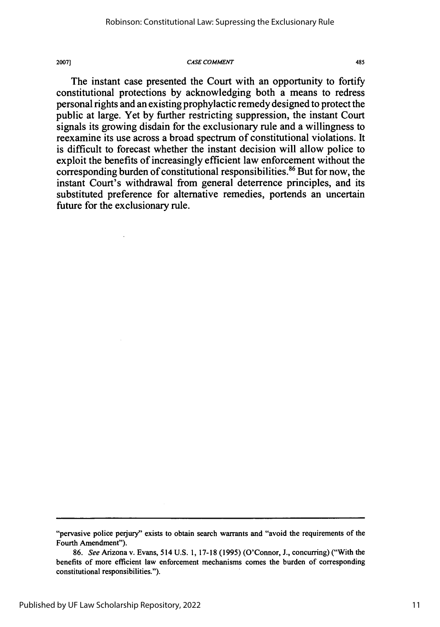#### **20071** *CASE COMMENT*

The instant case presented the Court with an opportunity to fortify constitutional protections by acknowledging both a means to redress personal rights and an existing prophylactic remedy designed to protect the public at large. Yet by further restricting suppression, the instant Court signals its growing disdain for the exclusionary rule and a willingness to reexamine its use across a broad spectrum of constitutional violations. It is difficult to forecast whether the instant decision will allow police to exploit the benefits of increasingly efficient law enforcement without the corresponding burden of constitutional responsibilities.<sup>86</sup> But for now, the instant Court's withdrawal from general deterrence principles, and its substituted preference for alternative remedies, portends an uncertain future for the exclusionary rule.

<sup>&</sup>quot;pervasive police perjury" exists to obtain search warrants and "avoid the requirements of the Fourth Amendment").

**<sup>86.</sup>** *See* Arizona v. Evans, 514 **U.S. 1, 17-18 (1995)** (O'Connor, **J.,** concurring) ("With the benefits of more efficient law enforcement mechanisms comes the burden of corresponding constitutional responsibilities.").